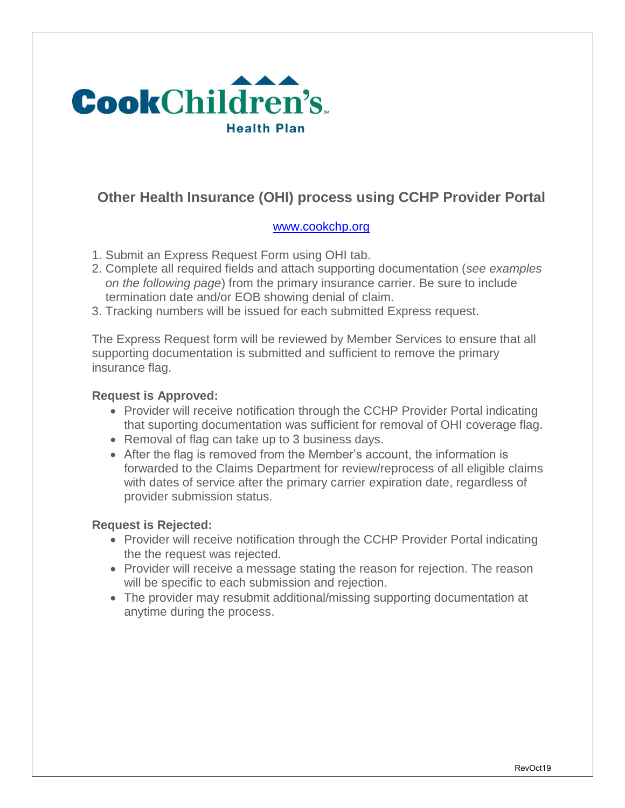

# **Other Health Insurance (OHI) process using CCHP Provider Portal**

### [www.cookchp.org](http://www.cookchp.org/)

- 1. Submit an Express Request Form using OHI tab.
- 2. Complete all required fields and attach supporting documentation (*see examples on the following page*) from the primary insurance carrier. Be sure to include termination date and/or EOB showing denial of claim.
- 3. Tracking numbers will be issued for each submitted Express request.

The Express Request form will be reviewed by Member Services to ensure that all supporting documentation is submitted and sufficient to remove the primary insurance flag.

### **Request is Approved:**

- Provider will receive notification through the CCHP Provider Portal indicating that suporting documentation was sufficient for removal of OHI coverage flag.
- Removal of flag can take up to 3 business days.
- After the flag is removed from the Member's account, the information is forwarded to the Claims Department for review/reprocess of all eligible claims with dates of service after the primary carrier expiration date, regardless of provider submission status.

#### **Request is Rejected:**

- Provider will receive notification through the CCHP Provider Portal indicating the the request was rejected.
- Provider will receive a message stating the reason for rejection. The reason will be specific to each submission and rejection.
- The provider may resubmit additional/missing supporting documentation at anytime during the process.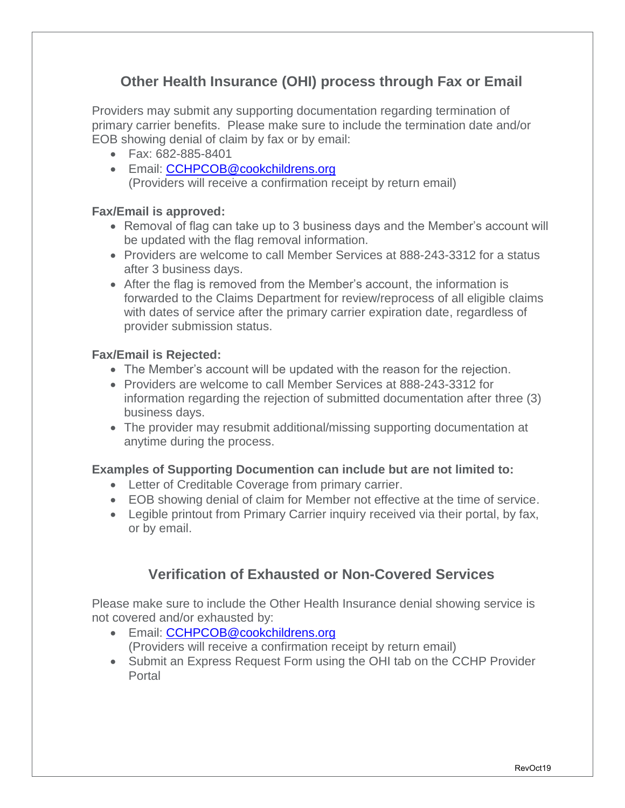# **Other Health Insurance (OHI) process through Fax or Email**

Providers may submit any supporting documentation regarding termination of primary carrier benefits. Please make sure to include the termination date and/or EOB showing denial of claim by fax or by email:

- Fax: 682-885-8401
- **Email: [CCHPCOB@cookchildrens.org](mailto:CCHPCOB@cookchildrens.org)** (Providers will receive a confirmation receipt by return email)

### **Fax/Email is approved:**

- Removal of flag can take up to 3 business days and the Member's account will be updated with the flag removal information.
- Providers are welcome to call Member Services at 888-243-3312 for a status after 3 business days.
- After the flag is removed from the Member's account, the information is forwarded to the Claims Department for review/reprocess of all eligible claims with dates of service after the primary carrier expiration date, regardless of provider submission status.

#### **Fax/Email is Rejected:**

- The Member's account will be updated with the reason for the rejection.
- Providers are welcome to call Member Services at 888-243-3312 for information regarding the rejection of submitted documentation after three (3) business days.
- The provider may resubmit additional/missing supporting documentation at anytime during the process.

### **Examples of Supporting Documention can include but are not limited to:**

- Letter of Creditable Coverage from primary carrier.
- EOB showing denial of claim for Member not effective at the time of service.
- Legible printout from Primary Carrier inquiry received via their portal, by fax, or by email.

## **Verification of Exhausted or Non-Covered Services**

Please make sure to include the Other Health Insurance denial showing service is not covered and/or exhausted by:

- **Email: [CCHPCOB@cookchildrens.org](mailto:CCHPCOB@cookchildrens.org)** (Providers will receive a confirmation receipt by return email)
- Submit an Express Request Form using the OHI tab on the CCHP Provider Portal